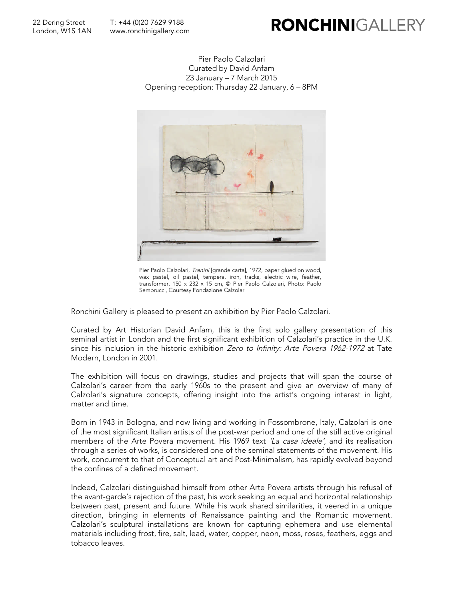## **RONCHINIGALLER**

Pier Paolo Calzolari Curated by David Anfam 23 January – 7 March 2015 Opening reception: Thursday 22 January, 6 – 8PM



Pier Paolo Calzolari, Trenini [grande carta], 1972, paper glued on wood, wax pastel, oil pastel, tempera, iron, tracks, electric wire, feather, transformer, 150 x 232 x 15 cm, © Pier Paolo Calzolari, Photo: Paolo Semprucci, Courtesy Fondazione Calzolari

Ronchini Gallery is pleased to present an exhibition by Pier Paolo Calzolari.

Curated by Art Historian David Anfam, this is the first solo gallery presentation of this seminal artist in London and the first significant exhibition of Calzolari's practice in the U.K. since his inclusion in the historic exhibition Zero to Infinity: Arte Povera 1962-1972 at Tate Modern, London in 2001.

The exhibition will focus on drawings, studies and projects that will span the course of Calzolari's career from the early 1960s to the present and give an overview of many of Calzolari's signature concepts, offering insight into the artist's ongoing interest in light, matter and time.

Born in 1943 in Bologna, and now living and working in Fossombrone, Italy, Calzolari is one of the most significant Italian artists of the post-war period and one of the still active original members of the Arte Povera movement. His 1969 text 'La casa ideale', and its realisation through a series of works, is considered one of the seminal statements of the movement. His work, concurrent to that of Conceptual art and Post-Minimalism, has rapidly evolved beyond the confines of a defined movement.

Indeed, Calzolari distinguished himself from other Arte Povera artists through his refusal of the avant-garde's rejection of the past, his work seeking an equal and horizontal relationship between past, present and future. While his work shared similarities, it veered in a unique direction, bringing in elements of Renaissance painting and the Romantic movement. Calzolari's sculptural installations are known for capturing ephemera and use elemental materials including frost, fire, salt, lead, water, copper, neon, moss, roses, feathers, eggs and tobacco leaves.